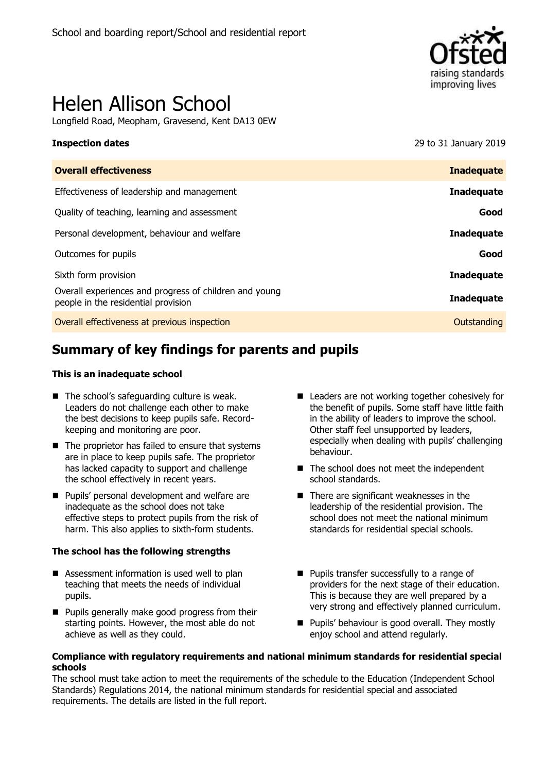

# Helen Allison School

Longfield Road, Meopham, Gravesend, Kent DA13 0EW

**Inspection dates** 2019 **CONSERVANCE 2019** 29 to 31 January 2019

| <b>Overall effectiveness</b>                                                                  | <b>Inadequate</b> |
|-----------------------------------------------------------------------------------------------|-------------------|
| Effectiveness of leadership and management                                                    | <b>Inadequate</b> |
| Quality of teaching, learning and assessment                                                  | Good              |
| Personal development, behaviour and welfare                                                   | <b>Inadequate</b> |
| Outcomes for pupils                                                                           | Good              |
| Sixth form provision                                                                          | <b>Inadequate</b> |
| Overall experiences and progress of children and young<br>people in the residential provision | Inadequate        |
| Overall effectiveness at previous inspection                                                  | Outstanding       |
|                                                                                               |                   |

# **Summary of key findings for parents and pupils**

#### **This is an inadequate school**

- $\blacksquare$  The school's safeguarding culture is weak. Leaders do not challenge each other to make the best decisions to keep pupils safe. Recordkeeping and monitoring are poor.
- $\blacksquare$  The proprietor has failed to ensure that systems are in place to keep pupils safe. The proprietor has lacked capacity to support and challenge the school effectively in recent years.
- **Pupils' personal development and welfare are** inadequate as the school does not take effective steps to protect pupils from the risk of harm. This also applies to sixth-form students.

#### **The school has the following strengths**

- Assessment information is used well to plan teaching that meets the needs of individual pupils.
- **Pupils generally make good progress from their** starting points. However, the most able do not achieve as well as they could.
- Leaders are not working together cohesively for the benefit of pupils. Some staff have little faith in the ability of leaders to improve the school. Other staff feel unsupported by leaders, especially when dealing with pupils' challenging behaviour.
- The school does not meet the independent school standards.
- There are significant weaknesses in the leadership of the residential provision. The school does not meet the national minimum standards for residential special schools.
- **Pupils transfer successfully to a range of** providers for the next stage of their education. This is because they are well prepared by a very strong and effectively planned curriculum.
- **Pupils' behaviour is good overall. They mostly** enjoy school and attend regularly.

#### **Compliance with regulatory requirements and national minimum standards for residential special schools**

The school must take action to meet the requirements of the schedule to the Education (Independent School Standards) Regulations 2014, the national minimum standards for residential special and associated requirements. The details are listed in the full report.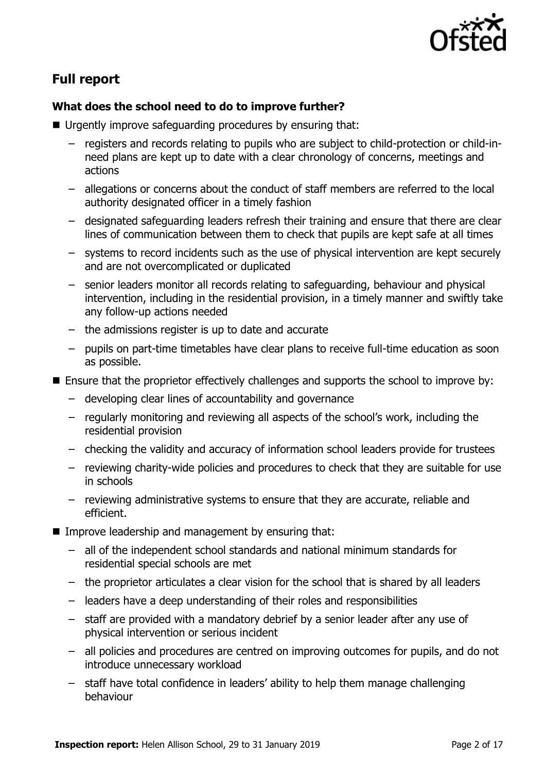

# **Full report**

#### **What does the school need to do to improve further?**

- Urgently improve safeguarding procedures by ensuring that:
	- registers and records relating to pupils who are subject to child-protection or child-inneed plans are kept up to date with a clear chronology of concerns, meetings and actions
	- allegations or concerns about the conduct of staff members are referred to the local authority designated officer in a timely fashion
	- designated safeguarding leaders refresh their training and ensure that there are clear lines of communication between them to check that pupils are kept safe at all times
	- systems to record incidents such as the use of physical intervention are kept securely and are not overcomplicated or duplicated
	- senior leaders monitor all records relating to safeguarding, behaviour and physical intervention, including in the residential provision, in a timely manner and swiftly take any follow-up actions needed
	- the admissions register is up to date and accurate
	- pupils on part-time timetables have clear plans to receive full-time education as soon as possible.
- Ensure that the proprietor effectively challenges and supports the school to improve by:
	- developing clear lines of accountability and governance
	- regularly monitoring and reviewing all aspects of the school's work, including the residential provision
	- checking the validity and accuracy of information school leaders provide for trustees
	- reviewing charity-wide policies and procedures to check that they are suitable for use in schools
	- reviewing administrative systems to ensure that they are accurate, reliable and efficient.
- Improve leadership and management by ensuring that:
	- all of the independent school standards and national minimum standards for residential special schools are met
	- the proprietor articulates a clear vision for the school that is shared by all leaders
	- leaders have a deep understanding of their roles and responsibilities
	- staff are provided with a mandatory debrief by a senior leader after any use of physical intervention or serious incident
	- all policies and procedures are centred on improving outcomes for pupils, and do not introduce unnecessary workload
	- staff have total confidence in leaders' ability to help them manage challenging behaviour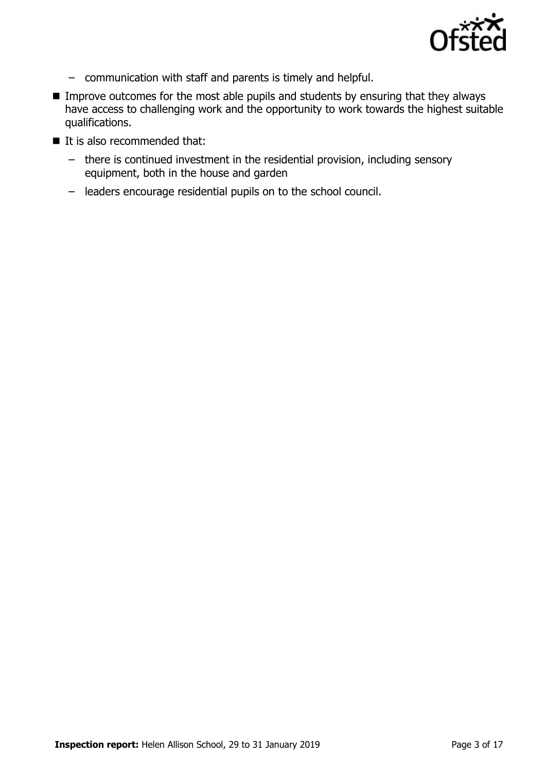

- communication with staff and parents is timely and helpful.
- **IMPROVE OUTCOMES for the most able pupils and students by ensuring that they always** have access to challenging work and the opportunity to work towards the highest suitable qualifications.
- $\blacksquare$  It is also recommended that:
	- there is continued investment in the residential provision, including sensory equipment, both in the house and garden
	- leaders encourage residential pupils on to the school council.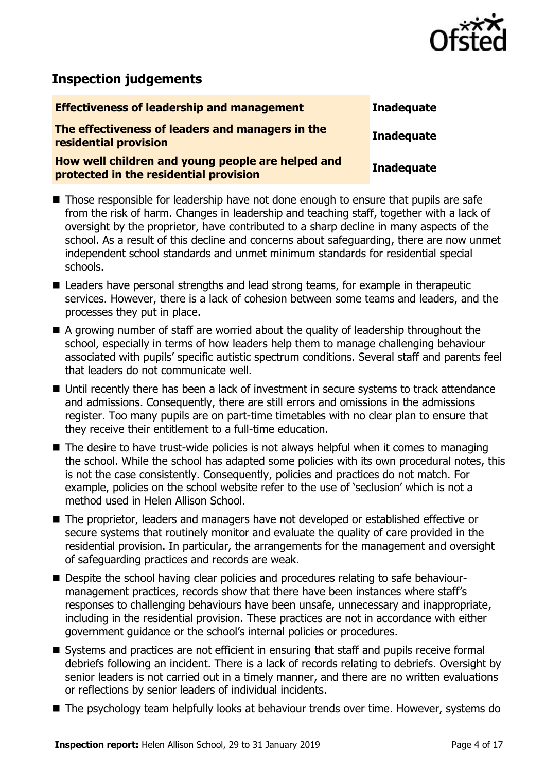

# **Inspection judgements**

| <b>Effectiveness of leadership and management</b>                                           | <b>Inadequate</b> |
|---------------------------------------------------------------------------------------------|-------------------|
| The effectiveness of leaders and managers in the<br>residential provision                   | <b>Inadequate</b> |
| How well children and young people are helped and<br>protected in the residential provision | <b>Inadequate</b> |

- Those responsible for leadership have not done enough to ensure that pupils are safe from the risk of harm. Changes in leadership and teaching staff, together with a lack of oversight by the proprietor, have contributed to a sharp decline in many aspects of the school. As a result of this decline and concerns about safeguarding, there are now unmet independent school standards and unmet minimum standards for residential special schools.
- Leaders have personal strengths and lead strong teams, for example in therapeutic services. However, there is a lack of cohesion between some teams and leaders, and the processes they put in place.
- A growing number of staff are worried about the quality of leadership throughout the school, especially in terms of how leaders help them to manage challenging behaviour associated with pupils' specific autistic spectrum conditions. Several staff and parents feel that leaders do not communicate well.
- Until recently there has been a lack of investment in secure systems to track attendance and admissions. Consequently, there are still errors and omissions in the admissions register. Too many pupils are on part-time timetables with no clear plan to ensure that they receive their entitlement to a full-time education.
- $\blacksquare$  The desire to have trust-wide policies is not always helpful when it comes to managing the school. While the school has adapted some policies with its own procedural notes, this is not the case consistently. Consequently, policies and practices do not match. For example, policies on the school website refer to the use of 'seclusion' which is not a method used in Helen Allison School.
- The proprietor, leaders and managers have not developed or established effective or secure systems that routinely monitor and evaluate the quality of care provided in the residential provision. In particular, the arrangements for the management and oversight of safeguarding practices and records are weak.
- Despite the school having clear policies and procedures relating to safe behaviourmanagement practices, records show that there have been instances where staff's responses to challenging behaviours have been unsafe, unnecessary and inappropriate, including in the residential provision. These practices are not in accordance with either government guidance or the school's internal policies or procedures.
- Systems and practices are not efficient in ensuring that staff and pupils receive formal debriefs following an incident. There is a lack of records relating to debriefs. Oversight by senior leaders is not carried out in a timely manner, and there are no written evaluations or reflections by senior leaders of individual incidents.
- The psychology team helpfully looks at behaviour trends over time. However, systems do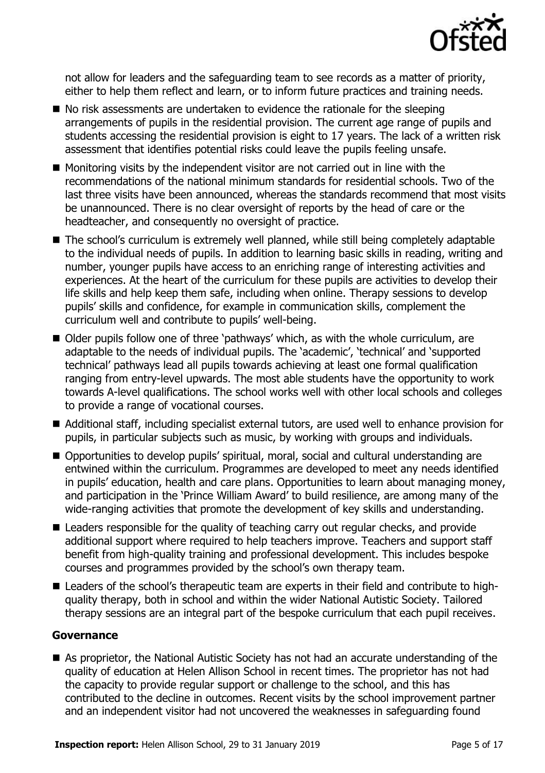

not allow for leaders and the safeguarding team to see records as a matter of priority, either to help them reflect and learn, or to inform future practices and training needs.

- No risk assessments are undertaken to evidence the rationale for the sleeping arrangements of pupils in the residential provision. The current age range of pupils and students accessing the residential provision is eight to 17 years. The lack of a written risk assessment that identifies potential risks could leave the pupils feeling unsafe.
- $\blacksquare$  Monitoring visits by the independent visitor are not carried out in line with the recommendations of the national minimum standards for residential schools. Two of the last three visits have been announced, whereas the standards recommend that most visits be unannounced. There is no clear oversight of reports by the head of care or the headteacher, and consequently no oversight of practice.
- The school's curriculum is extremely well planned, while still being completely adaptable to the individual needs of pupils. In addition to learning basic skills in reading, writing and number, younger pupils have access to an enriching range of interesting activities and experiences. At the heart of the curriculum for these pupils are activities to develop their life skills and help keep them safe, including when online. Therapy sessions to develop pupils' skills and confidence, for example in communication skills, complement the curriculum well and contribute to pupils' well-being.
- Older pupils follow one of three 'pathways' which, as with the whole curriculum, are adaptable to the needs of individual pupils. The 'academic', 'technical' and 'supported technical' pathways lead all pupils towards achieving at least one formal qualification ranging from entry-level upwards. The most able students have the opportunity to work towards A-level qualifications. The school works well with other local schools and colleges to provide a range of vocational courses.
- Additional staff, including specialist external tutors, are used well to enhance provision for pupils, in particular subjects such as music, by working with groups and individuals.
- Opportunities to develop pupils' spiritual, moral, social and cultural understanding are entwined within the curriculum. Programmes are developed to meet any needs identified in pupils' education, health and care plans. Opportunities to learn about managing money, and participation in the 'Prince William Award' to build resilience, are among many of the wide-ranging activities that promote the development of key skills and understanding.
- Leaders responsible for the quality of teaching carry out regular checks, and provide additional support where required to help teachers improve. Teachers and support staff benefit from high-quality training and professional development. This includes bespoke courses and programmes provided by the school's own therapy team.
- Leaders of the school's therapeutic team are experts in their field and contribute to highquality therapy, both in school and within the wider National Autistic Society. Tailored therapy sessions are an integral part of the bespoke curriculum that each pupil receives.

#### **Governance**

 As proprietor, the National Autistic Society has not had an accurate understanding of the quality of education at Helen Allison School in recent times. The proprietor has not had the capacity to provide regular support or challenge to the school, and this has contributed to the decline in outcomes. Recent visits by the school improvement partner and an independent visitor had not uncovered the weaknesses in safeguarding found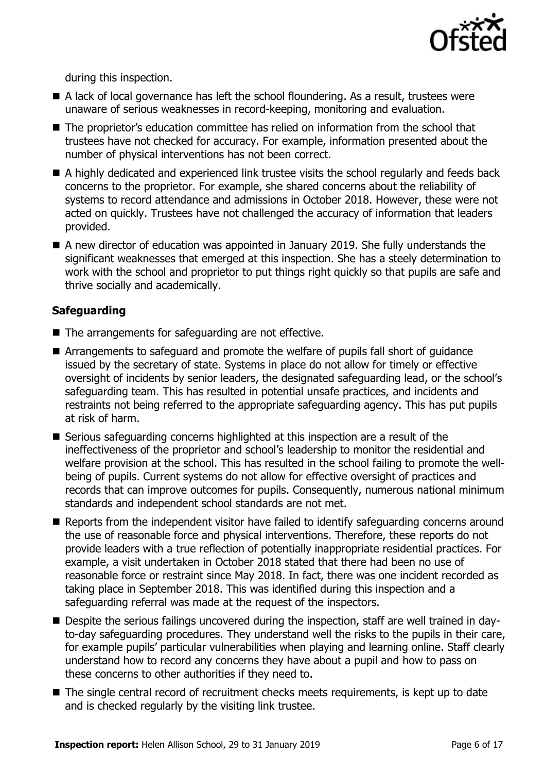

during this inspection.

- A lack of local governance has left the school floundering. As a result, trustees were unaware of serious weaknesses in record-keeping, monitoring and evaluation.
- The proprietor's education committee has relied on information from the school that trustees have not checked for accuracy. For example, information presented about the number of physical interventions has not been correct.
- A highly dedicated and experienced link trustee visits the school regularly and feeds back concerns to the proprietor. For example, she shared concerns about the reliability of systems to record attendance and admissions in October 2018. However, these were not acted on quickly. Trustees have not challenged the accuracy of information that leaders provided.
- A new director of education was appointed in January 2019. She fully understands the significant weaknesses that emerged at this inspection. She has a steely determination to work with the school and proprietor to put things right quickly so that pupils are safe and thrive socially and academically.

#### **Safeguarding**

- The arrangements for safeguarding are not effective.
- Arrangements to safeguard and promote the welfare of pupils fall short of guidance issued by the secretary of state. Systems in place do not allow for timely or effective oversight of incidents by senior leaders, the designated safeguarding lead, or the school's safeguarding team. This has resulted in potential unsafe practices, and incidents and restraints not being referred to the appropriate safeguarding agency. This has put pupils at risk of harm.
- Serious safeguarding concerns highlighted at this inspection are a result of the ineffectiveness of the proprietor and school's leadership to monitor the residential and welfare provision at the school. This has resulted in the school failing to promote the wellbeing of pupils. Current systems do not allow for effective oversight of practices and records that can improve outcomes for pupils. Consequently, numerous national minimum standards and independent school standards are not met.
- Reports from the independent visitor have failed to identify safeguarding concerns around the use of reasonable force and physical interventions. Therefore, these reports do not provide leaders with a true reflection of potentially inappropriate residential practices. For example, a visit undertaken in October 2018 stated that there had been no use of reasonable force or restraint since May 2018. In fact, there was one incident recorded as taking place in September 2018. This was identified during this inspection and a safeguarding referral was made at the request of the inspectors.
- Despite the serious failings uncovered during the inspection, staff are well trained in dayto-day safeguarding procedures. They understand well the risks to the pupils in their care, for example pupils' particular vulnerabilities when playing and learning online. Staff clearly understand how to record any concerns they have about a pupil and how to pass on these concerns to other authorities if they need to.
- The single central record of recruitment checks meets requirements, is kept up to date and is checked regularly by the visiting link trustee.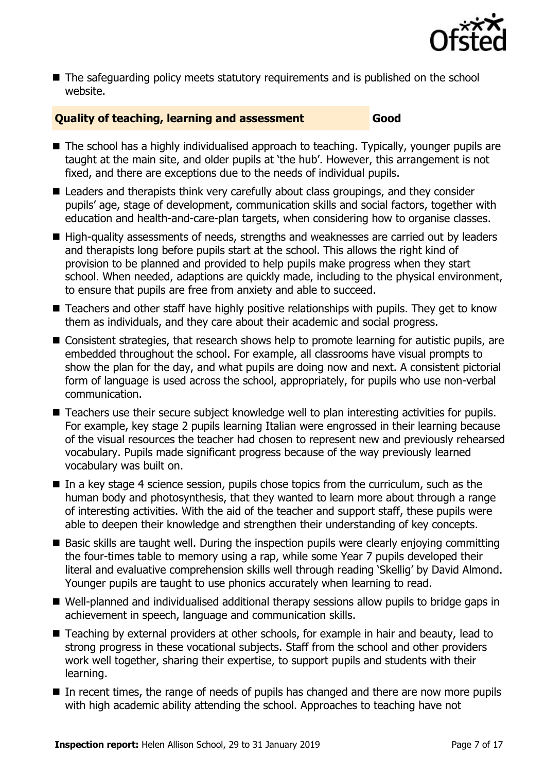

■ The safeguarding policy meets statutory requirements and is published on the school website.

### **Quality of teaching, learning and assessment Good**

- The school has a highly individualised approach to teaching. Typically, younger pupils are taught at the main site, and older pupils at 'the hub'. However, this arrangement is not fixed, and there are exceptions due to the needs of individual pupils.
- Leaders and therapists think very carefully about class groupings, and they consider pupils' age, stage of development, communication skills and social factors, together with education and health-and-care-plan targets, when considering how to organise classes.
- High-quality assessments of needs, strengths and weaknesses are carried out by leaders and therapists long before pupils start at the school. This allows the right kind of provision to be planned and provided to help pupils make progress when they start school. When needed, adaptions are quickly made, including to the physical environment, to ensure that pupils are free from anxiety and able to succeed.
- Teachers and other staff have highly positive relationships with pupils. They get to know them as individuals, and they care about their academic and social progress.
- Consistent strategies, that research shows help to promote learning for autistic pupils, are embedded throughout the school. For example, all classrooms have visual prompts to show the plan for the day, and what pupils are doing now and next. A consistent pictorial form of language is used across the school, appropriately, for pupils who use non-verbal communication.
- Teachers use their secure subject knowledge well to plan interesting activities for pupils. For example, key stage 2 pupils learning Italian were engrossed in their learning because of the visual resources the teacher had chosen to represent new and previously rehearsed vocabulary. Pupils made significant progress because of the way previously learned vocabulary was built on.
- $\blacksquare$  In a key stage 4 science session, pupils chose topics from the curriculum, such as the human body and photosynthesis, that they wanted to learn more about through a range of interesting activities. With the aid of the teacher and support staff, these pupils were able to deepen their knowledge and strengthen their understanding of key concepts.
- Basic skills are taught well. During the inspection pupils were clearly enjoying committing the four-times table to memory using a rap, while some Year 7 pupils developed their literal and evaluative comprehension skills well through reading 'Skellig' by David Almond. Younger pupils are taught to use phonics accurately when learning to read.
- Well-planned and individualised additional therapy sessions allow pupils to bridge gaps in achievement in speech, language and communication skills.
- Teaching by external providers at other schools, for example in hair and beauty, lead to strong progress in these vocational subjects. Staff from the school and other providers work well together, sharing their expertise, to support pupils and students with their learning.
- In recent times, the range of needs of pupils has changed and there are now more pupils with high academic ability attending the school. Approaches to teaching have not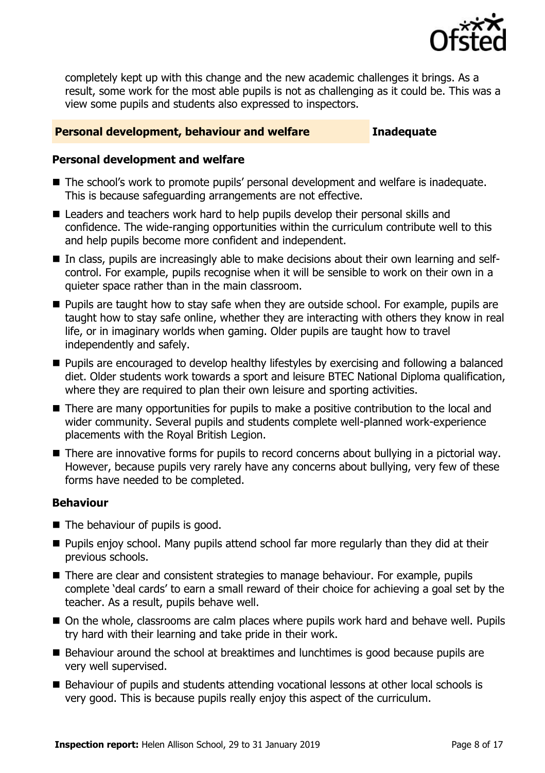

completely kept up with this change and the new academic challenges it brings. As a result, some work for the most able pupils is not as challenging as it could be. This was a view some pupils and students also expressed to inspectors.

#### **Personal development, behaviour and welfare <b>Inadequate**

#### **Personal development and welfare**

- The school's work to promote pupils' personal development and welfare is inadequate. This is because safeguarding arrangements are not effective.
- Leaders and teachers work hard to help pupils develop their personal skills and confidence. The wide-ranging opportunities within the curriculum contribute well to this and help pupils become more confident and independent.
- In class, pupils are increasingly able to make decisions about their own learning and selfcontrol. For example, pupils recognise when it will be sensible to work on their own in a quieter space rather than in the main classroom.
- **Pupils are taught how to stay safe when they are outside school. For example, pupils are** taught how to stay safe online, whether they are interacting with others they know in real life, or in imaginary worlds when gaming. Older pupils are taught how to travel independently and safely.
- **Pupils are encouraged to develop healthy lifestyles by exercising and following a balanced** diet. Older students work towards a sport and leisure BTEC National Diploma qualification, where they are required to plan their own leisure and sporting activities.
- There are many opportunities for pupils to make a positive contribution to the local and wider community. Several pupils and students complete well-planned work-experience placements with the Royal British Legion.
- There are innovative forms for pupils to record concerns about bullying in a pictorial way. However, because pupils very rarely have any concerns about bullying, very few of these forms have needed to be completed.

#### **Behaviour**

- $\blacksquare$  The behaviour of pupils is good.
- **Pupils enjoy school. Many pupils attend school far more regularly than they did at their** previous schools.
- There are clear and consistent strategies to manage behaviour. For example, pupils complete 'deal cards' to earn a small reward of their choice for achieving a goal set by the teacher. As a result, pupils behave well.
- On the whole, classrooms are calm places where pupils work hard and behave well. Pupils try hard with their learning and take pride in their work.
- Behaviour around the school at breaktimes and lunchtimes is good because pupils are very well supervised.
- Behaviour of pupils and students attending vocational lessons at other local schools is very good. This is because pupils really enjoy this aspect of the curriculum.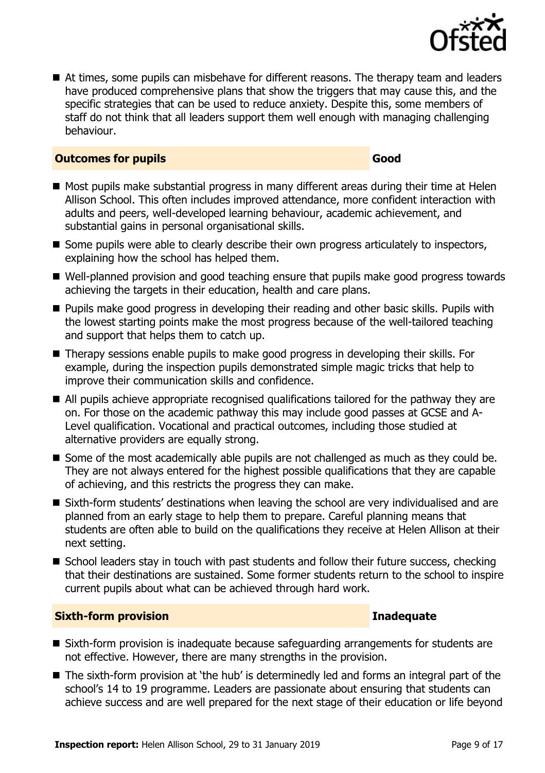

At times, some pupils can misbehave for different reasons. The therapy team and leaders have produced comprehensive plans that show the triggers that may cause this, and the specific strategies that can be used to reduce anxiety. Despite this, some members of staff do not think that all leaders support them well enough with managing challenging behaviour.

#### **Outcomes for pupils Good**

- Most pupils make substantial progress in many different areas during their time at Helen Allison School. This often includes improved attendance, more confident interaction with adults and peers, well-developed learning behaviour, academic achievement, and substantial gains in personal organisational skills.
- Some pupils were able to clearly describe their own progress articulately to inspectors, explaining how the school has helped them.
- Well-planned provision and good teaching ensure that pupils make good progress towards achieving the targets in their education, health and care plans.
- **Pupils make good progress in developing their reading and other basic skills. Pupils with** the lowest starting points make the most progress because of the well-tailored teaching and support that helps them to catch up.
- Therapy sessions enable pupils to make good progress in developing their skills. For example, during the inspection pupils demonstrated simple magic tricks that help to improve their communication skills and confidence.
- All pupils achieve appropriate recognised qualifications tailored for the pathway they are on. For those on the academic pathway this may include good passes at GCSE and A-Level qualification. Vocational and practical outcomes, including those studied at alternative providers are equally strong.
- Some of the most academically able pupils are not challenged as much as they could be. They are not always entered for the highest possible qualifications that they are capable of achieving, and this restricts the progress they can make.
- Sixth-form students' destinations when leaving the school are very individualised and are planned from an early stage to help them to prepare. Careful planning means that students are often able to build on the qualifications they receive at Helen Allison at their next setting.
- School leaders stay in touch with past students and follow their future success, checking that their destinations are sustained. Some former students return to the school to inspire current pupils about what can be achieved through hard work.

#### **Sixth-form provision Inadequate**

- Sixth-form provision is inadequate because safequarding arrangements for students are not effective. However, there are many strengths in the provision.
- The sixth-form provision at 'the hub' is determinedly led and forms an integral part of the school's 14 to 19 programme. Leaders are passionate about ensuring that students can achieve success and are well prepared for the next stage of their education or life beyond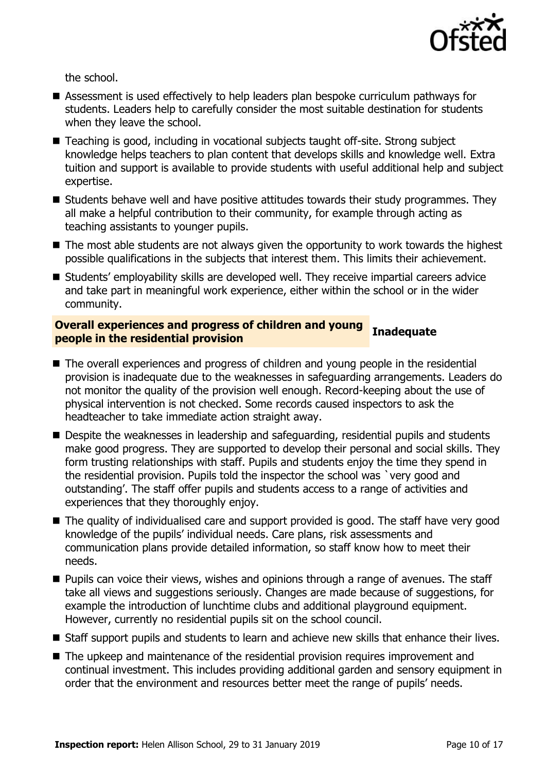

the school.

- Assessment is used effectively to help leaders plan bespoke curriculum pathways for students. Leaders help to carefully consider the most suitable destination for students when they leave the school.
- Teaching is good, including in vocational subjects taught off-site. Strong subject knowledge helps teachers to plan content that develops skills and knowledge well. Extra tuition and support is available to provide students with useful additional help and subject expertise.
- Students behave well and have positive attitudes towards their study programmes. They all make a helpful contribution to their community, for example through acting as teaching assistants to younger pupils.
- The most able students are not always given the opportunity to work towards the highest possible qualifications in the subjects that interest them. This limits their achievement.
- Students' employability skills are developed well. They receive impartial careers advice and take part in meaningful work experience, either within the school or in the wider community.

### **Overall experiences and progress of children and young people in the residential provision Inadequate**

- The overall experiences and progress of children and young people in the residential provision is inadequate due to the weaknesses in safeguarding arrangements. Leaders do not monitor the quality of the provision well enough. Record-keeping about the use of physical intervention is not checked. Some records caused inspectors to ask the headteacher to take immediate action straight away.
- Despite the weaknesses in leadership and safeguarding, residential pupils and students make good progress. They are supported to develop their personal and social skills. They form trusting relationships with staff. Pupils and students enjoy the time they spend in the residential provision. Pupils told the inspector the school was `very good and outstanding'. The staff offer pupils and students access to a range of activities and experiences that they thoroughly enjoy.
- The quality of individualised care and support provided is good. The staff have very good knowledge of the pupils' individual needs. Care plans, risk assessments and communication plans provide detailed information, so staff know how to meet their needs.
- **Pupils can voice their views, wishes and opinions through a range of avenues. The staff** take all views and suggestions seriously. Changes are made because of suggestions, for example the introduction of lunchtime clubs and additional playground equipment. However, currently no residential pupils sit on the school council.
- Staff support pupils and students to learn and achieve new skills that enhance their lives.
- The upkeep and maintenance of the residential provision requires improvement and continual investment. This includes providing additional garden and sensory equipment in order that the environment and resources better meet the range of pupils' needs.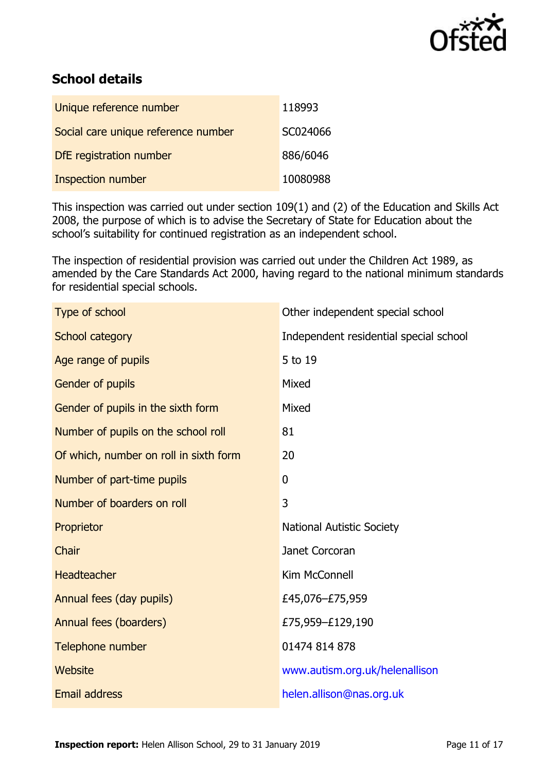

# **School details**

| Unique reference number             | 118993   |
|-------------------------------------|----------|
| Social care unique reference number | SC024066 |
| DfE registration number             | 886/6046 |
| Inspection number                   | 10080988 |

This inspection was carried out under section 109(1) and (2) of the Education and Skills Act 2008, the purpose of which is to advise the Secretary of State for Education about the school's suitability for continued registration as an independent school.

The inspection of residential provision was carried out under the Children Act 1989, as amended by the Care Standards Act 2000, having regard to the national minimum standards for residential special schools.

| Type of school                         | Other independent special school       |
|----------------------------------------|----------------------------------------|
| School category                        | Independent residential special school |
| Age range of pupils                    | 5 to 19                                |
| Gender of pupils                       | Mixed                                  |
| Gender of pupils in the sixth form     | Mixed                                  |
| Number of pupils on the school roll    | 81                                     |
| Of which, number on roll in sixth form | 20                                     |
| Number of part-time pupils             | $\mathbf{0}$                           |
| Number of boarders on roll             | 3                                      |
| Proprietor                             | <b>National Autistic Society</b>       |
| Chair                                  | Janet Corcoran                         |
| <b>Headteacher</b>                     | Kim McConnell                          |
| Annual fees (day pupils)               | £45,076-£75,959                        |
| Annual fees (boarders)                 | £75,959-£129,190                       |
| Telephone number                       | 01474 814 878                          |
| Website                                | www.autism.org.uk/helenallison         |
| <b>Email address</b>                   | helen.allison@nas.org.uk               |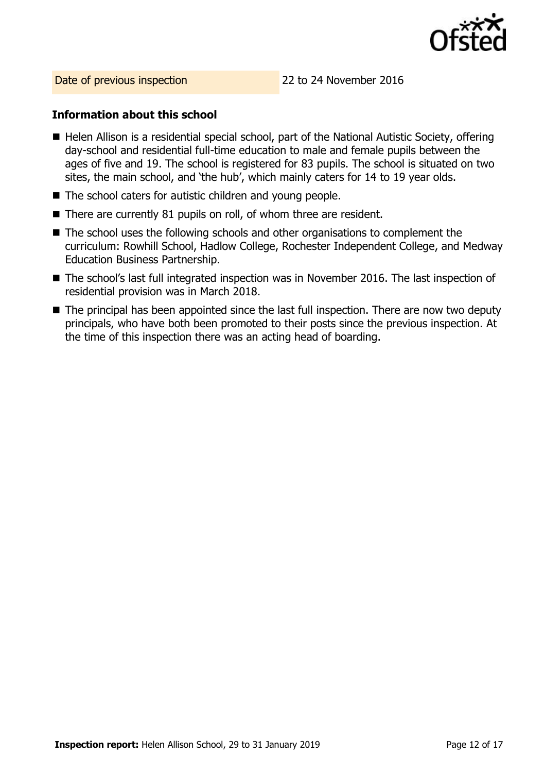

Date of previous inspection 22 to 24 November 2016

#### **Information about this school**

- Helen Allison is a residential special school, part of the National Autistic Society, offering day-school and residential full-time education to male and female pupils between the ages of five and 19. The school is registered for 83 pupils. The school is situated on two sites, the main school, and 'the hub', which mainly caters for 14 to 19 year olds.
- The school caters for autistic children and young people.
- There are currently 81 pupils on roll, of whom three are resident.
- The school uses the following schools and other organisations to complement the curriculum: Rowhill School, Hadlow College, Rochester Independent College, and Medway Education Business Partnership.
- The school's last full integrated inspection was in November 2016. The last inspection of residential provision was in March 2018.
- The principal has been appointed since the last full inspection. There are now two deputy principals, who have both been promoted to their posts since the previous inspection. At the time of this inspection there was an acting head of boarding.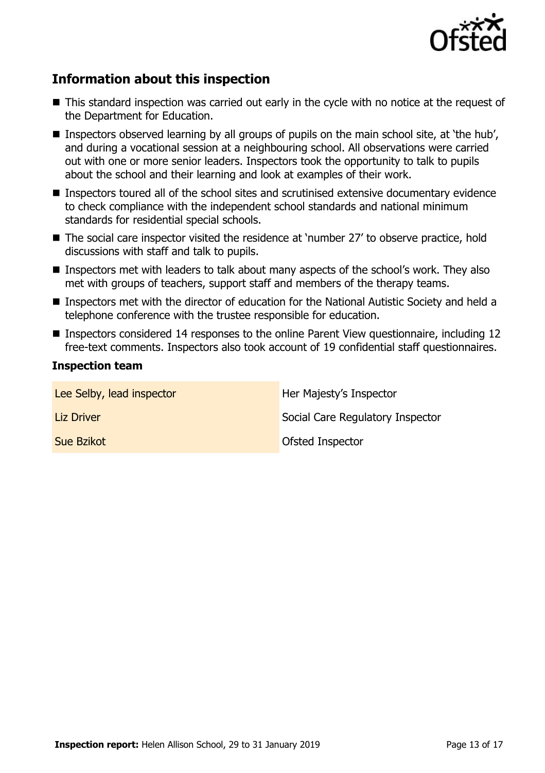

## **Information about this inspection**

- This standard inspection was carried out early in the cycle with no notice at the request of the Department for Education.
- Inspectors observed learning by all groups of pupils on the main school site, at 'the hub', and during a vocational session at a neighbouring school. All observations were carried out with one or more senior leaders. Inspectors took the opportunity to talk to pupils about the school and their learning and look at examples of their work.
- **Inspectors toured all of the school sites and scrutinised extensive documentary evidence** to check compliance with the independent school standards and national minimum standards for residential special schools.
- The social care inspector visited the residence at 'number 27' to observe practice, hold discussions with staff and talk to pupils.
- Inspectors met with leaders to talk about many aspects of the school's work. They also met with groups of teachers, support staff and members of the therapy teams.
- Inspectors met with the director of education for the National Autistic Society and held a telephone conference with the trustee responsible for education.
- Inspectors considered 14 responses to the online Parent View questionnaire, including 12 free-text comments. Inspectors also took account of 19 confidential staff questionnaires.

#### **Inspection team**

| Lee Selby, lead inspector | Her Majesty's Inspector          |
|---------------------------|----------------------------------|
| Liz Driver                | Social Care Regulatory Inspector |
| Sue Bzikot                | Ofsted Inspector                 |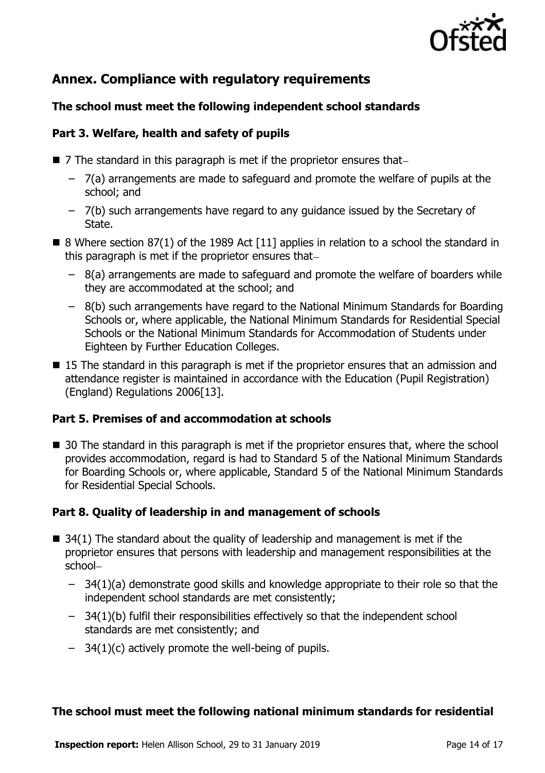

# **Annex. Compliance with regulatory requirements**

#### **The school must meet the following independent school standards**

#### **Part 3. Welfare, health and safety of pupils**

- $\blacksquare$  7 The standard in this paragraph is met if the proprietor ensures that-
	- 7(a) arrangements are made to safeguard and promote the welfare of pupils at the school; and
	- 7(b) such arrangements have regard to any guidance issued by the Secretary of State.
- 8 Where section 87(1) of the 1989 Act [11] applies in relation to a school the standard in this paragraph is met if the proprietor ensures that
	- 8(a) arrangements are made to safeguard and promote the welfare of boarders while they are accommodated at the school; and
	- 8(b) such arrangements have regard to the National Minimum Standards for Boarding Schools or, where applicable, the National Minimum Standards for Residential Special Schools or the National Minimum Standards for Accommodation of Students under Eighteen by Further Education Colleges.
- 15 The standard in this paragraph is met if the proprietor ensures that an admission and attendance register is maintained in accordance with the Education (Pupil Registration) (England) Regulations 2006[13].

#### **Part 5. Premises of and accommodation at schools**

■ 30 The standard in this paragraph is met if the proprietor ensures that, where the school provides accommodation, regard is had to Standard 5 of the National Minimum Standards for Boarding Schools or, where applicable, Standard 5 of the National Minimum Standards for Residential Special Schools.

### **Part 8. Quality of leadership in and management of schools**

- $\blacksquare$  34(1) The standard about the quality of leadership and management is met if the proprietor ensures that persons with leadership and management responsibilities at the school
	- 34(1)(a) demonstrate good skills and knowledge appropriate to their role so that the independent school standards are met consistently;
	- 34(1)(b) fulfil their responsibilities effectively so that the independent school standards are met consistently; and
	- 34(1)(c) actively promote the well-being of pupils.

#### **The school must meet the following national minimum standards for residential**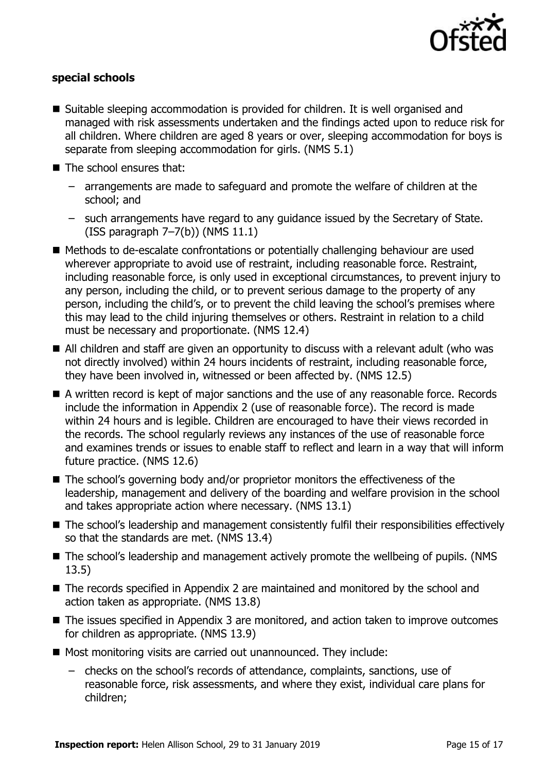

#### **special schools**

- Suitable sleeping accommodation is provided for children. It is well organised and managed with risk assessments undertaken and the findings acted upon to reduce risk for all children. Where children are aged 8 years or over, sleeping accommodation for boys is separate from sleeping accommodation for girls. (NMS 5.1)
- The school ensures that:
	- arrangements are made to safeguard and promote the welfare of children at the school; and
	- such arrangements have regard to any guidance issued by the Secretary of State. (ISS paragraph 7–7(b)) (NMS 11.1)
- Methods to de-escalate confrontations or potentially challenging behaviour are used wherever appropriate to avoid use of restraint, including reasonable force. Restraint, including reasonable force, is only used in exceptional circumstances, to prevent injury to any person, including the child, or to prevent serious damage to the property of any person, including the child's, or to prevent the child leaving the school's premises where this may lead to the child injuring themselves or others. Restraint in relation to a child must be necessary and proportionate. (NMS 12.4)
- All children and staff are given an opportunity to discuss with a relevant adult (who was not directly involved) within 24 hours incidents of restraint, including reasonable force, they have been involved in, witnessed or been affected by. (NMS 12.5)
- A written record is kept of major sanctions and the use of any reasonable force. Records include the information in Appendix 2 (use of reasonable force). The record is made within 24 hours and is legible. Children are encouraged to have their views recorded in the records. The school regularly reviews any instances of the use of reasonable force and examines trends or issues to enable staff to reflect and learn in a way that will inform future practice. (NMS 12.6)
- The school's governing body and/or proprietor monitors the effectiveness of the leadership, management and delivery of the boarding and welfare provision in the school and takes appropriate action where necessary. (NMS 13.1)
- The school's leadership and management consistently fulfil their responsibilities effectively so that the standards are met. (NMS 13.4)
- The school's leadership and management actively promote the wellbeing of pupils. (NMS 13.5)
- The records specified in Appendix 2 are maintained and monitored by the school and action taken as appropriate. (NMS 13.8)
- The issues specified in Appendix 3 are monitored, and action taken to improve outcomes for children as appropriate. (NMS 13.9)
- Most monitoring visits are carried out unannounced. They include:
	- checks on the school's records of attendance, complaints, sanctions, use of reasonable force, risk assessments, and where they exist, individual care plans for children;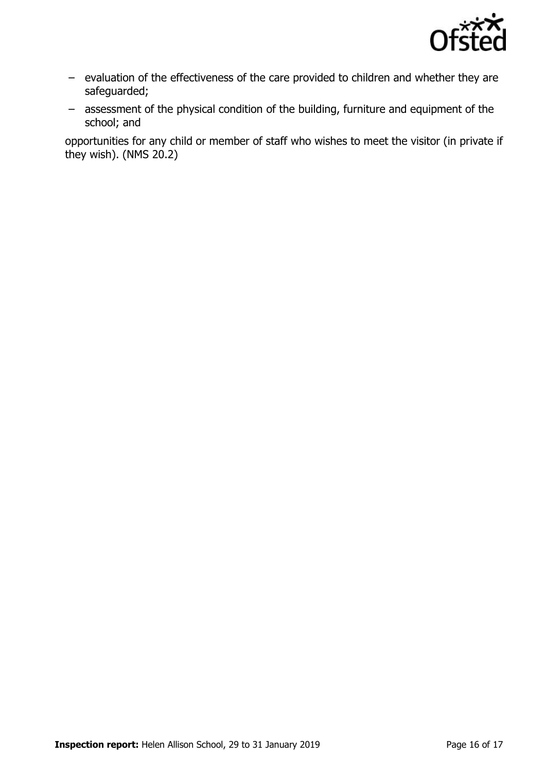

- evaluation of the effectiveness of the care provided to children and whether they are safeguarded;
- assessment of the physical condition of the building, furniture and equipment of the school; and

opportunities for any child or member of staff who wishes to meet the visitor (in private if they wish). (NMS 20.2)